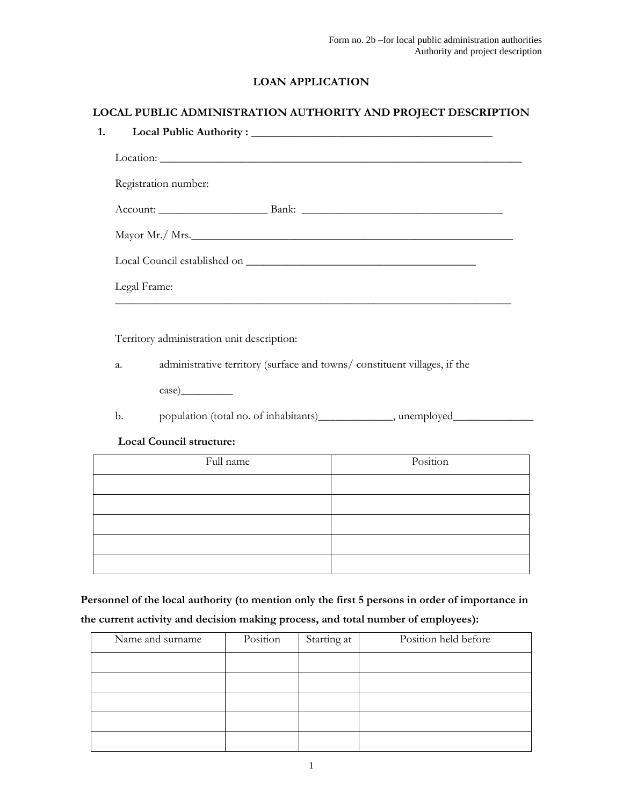# LOAN APPLICATION

## LOCAL PUBLIC ADMINISTRATION AUTHORITY AND PROJECT DESCRIPTION

| Registration number: |  |  |
|----------------------|--|--|
| Account: Bank: Bank: |  |  |
|                      |  |  |
|                      |  |  |
| Legal Frame:         |  |  |
|                      |  |  |

Territory administration unit description:

a. administrative territory (surface and towns/ constituent villages, if the

case)\_\_\_\_\_\_\_\_\_

b. population (total no. of inhabitants)\_\_\_\_\_\_\_\_\_\_\_\_, unemployed\_\_\_\_\_\_\_\_\_\_\_\_\_\_\_\_

#### Local Council structure:

| Full name | Position |
|-----------|----------|
|           |          |
|           |          |
|           |          |
|           |          |
|           |          |

Personnel of the local authority (to mention only the first 5 persons in order of importance in the current activity and decision making process, and total number of employees):

| Name and surname | Position | Starting at | Position held before |
|------------------|----------|-------------|----------------------|
|                  |          |             |                      |
|                  |          |             |                      |
|                  |          |             |                      |
|                  |          |             |                      |
|                  |          |             |                      |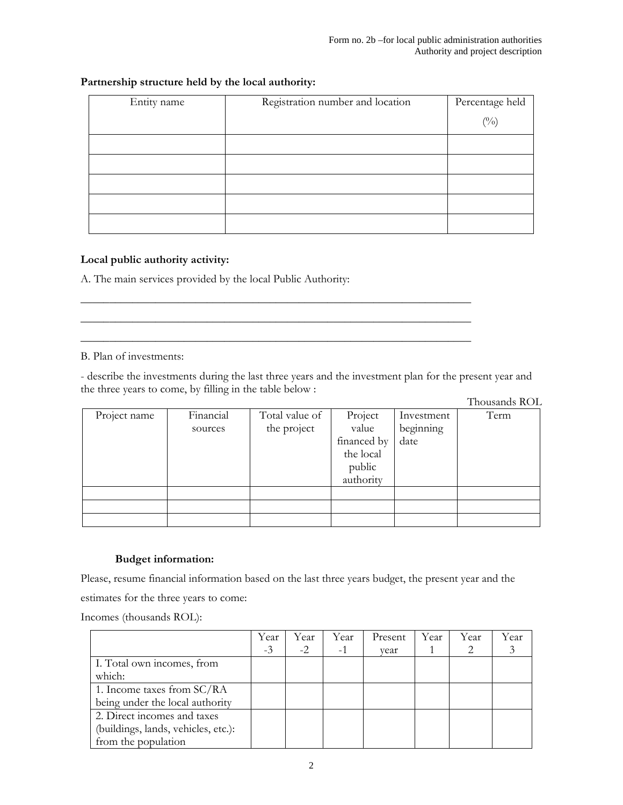## Partnership structure held by the local authority:

| Entity name | Registration number and location | Percentage held |
|-------------|----------------------------------|-----------------|
|             |                                  | $\binom{0}{0}$  |
|             |                                  |                 |
|             |                                  |                 |
|             |                                  |                 |
|             |                                  |                 |
|             |                                  |                 |

## Local public authority activity:

A. The main services provided by the local Public Authority:

### B. Plan of investments:

- describe the investments during the last three years and the investment plan for the present year and the three years to come, by filling in the table below :

 $\frac{1}{2}$  ,  $\frac{1}{2}$  ,  $\frac{1}{2}$  ,  $\frac{1}{2}$  ,  $\frac{1}{2}$  ,  $\frac{1}{2}$  ,  $\frac{1}{2}$  ,  $\frac{1}{2}$  ,  $\frac{1}{2}$  ,  $\frac{1}{2}$  ,  $\frac{1}{2}$  ,  $\frac{1}{2}$  ,  $\frac{1}{2}$  ,  $\frac{1}{2}$  ,  $\frac{1}{2}$  ,  $\frac{1}{2}$  ,  $\frac{1}{2}$  ,  $\frac{1}{2}$  ,  $\frac{1$  $\frac{1}{2}$  ,  $\frac{1}{2}$  ,  $\frac{1}{2}$  ,  $\frac{1}{2}$  ,  $\frac{1}{2}$  ,  $\frac{1}{2}$  ,  $\frac{1}{2}$  ,  $\frac{1}{2}$  ,  $\frac{1}{2}$  ,  $\frac{1}{2}$  ,  $\frac{1}{2}$  ,  $\frac{1}{2}$  ,  $\frac{1}{2}$  ,  $\frac{1}{2}$  ,  $\frac{1}{2}$  ,  $\frac{1}{2}$  ,  $\frac{1}{2}$  ,  $\frac{1}{2}$  ,  $\frac{1$  $\frac{1}{2}$  ,  $\frac{1}{2}$  ,  $\frac{1}{2}$  ,  $\frac{1}{2}$  ,  $\frac{1}{2}$  ,  $\frac{1}{2}$  ,  $\frac{1}{2}$  ,  $\frac{1}{2}$  ,  $\frac{1}{2}$  ,  $\frac{1}{2}$  ,  $\frac{1}{2}$  ,  $\frac{1}{2}$  ,  $\frac{1}{2}$  ,  $\frac{1}{2}$  ,  $\frac{1}{2}$  ,  $\frac{1}{2}$  ,  $\frac{1}{2}$  ,  $\frac{1}{2}$  ,  $\frac{1$ 

Thousands ROL

| Project name | Financial | Total value of | Project     | Investment | Term |
|--------------|-----------|----------------|-------------|------------|------|
|              | sources   | the project    | value       | beginning  |      |
|              |           |                | financed by | date       |      |
|              |           |                | the local   |            |      |
|              |           |                | public      |            |      |
|              |           |                | authority   |            |      |
|              |           |                |             |            |      |
|              |           |                |             |            |      |
|              |           |                |             |            |      |

## Budget information:

Please, resume financial information based on the last three years budget, the present year and the estimates for the three years to come:

Incomes (thousands ROL):

|                                     | Year | Year | Year | Present | Year | Year | Year |
|-------------------------------------|------|------|------|---------|------|------|------|
|                                     | $-3$ | $-2$ | -1   | vear    |      |      |      |
| I. Total own incomes, from          |      |      |      |         |      |      |      |
| which:                              |      |      |      |         |      |      |      |
| 1. Income taxes from SC/RA          |      |      |      |         |      |      |      |
| being under the local authority     |      |      |      |         |      |      |      |
| 2. Direct incomes and taxes         |      |      |      |         |      |      |      |
| (buildings, lands, vehicles, etc.): |      |      |      |         |      |      |      |
| from the population                 |      |      |      |         |      |      |      |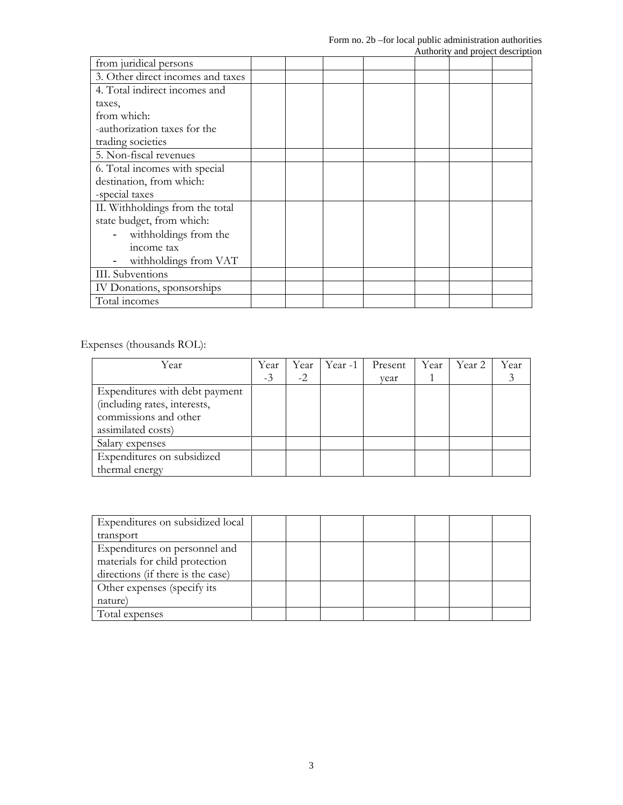| from juridical persons            |  |  |  |  |
|-----------------------------------|--|--|--|--|
| 3. Other direct incomes and taxes |  |  |  |  |
| 4. Total indirect incomes and     |  |  |  |  |
| taxes,                            |  |  |  |  |
| from which:                       |  |  |  |  |
| -authorization taxes for the      |  |  |  |  |
| trading societies                 |  |  |  |  |
| 5. Non-fiscal revenues            |  |  |  |  |
| 6. Total incomes with special     |  |  |  |  |
| destination, from which:          |  |  |  |  |
| -special taxes                    |  |  |  |  |
| II. Withholdings from the total   |  |  |  |  |
| state budget, from which:         |  |  |  |  |
| withholdings from the             |  |  |  |  |
| income tax                        |  |  |  |  |
| withholdings from VAT             |  |  |  |  |
| III. Subventions                  |  |  |  |  |
| IV Donations, sponsorships        |  |  |  |  |
| Total incomes                     |  |  |  |  |

Expenses (thousands ROL):

| Year                           | Year | Year | Year -1 | Present | Year | Year 2 | Year |
|--------------------------------|------|------|---------|---------|------|--------|------|
|                                | $-3$ | $-2$ |         | vear    |      |        |      |
| Expenditures with debt payment |      |      |         |         |      |        |      |
| (including rates, interests,   |      |      |         |         |      |        |      |
| commissions and other          |      |      |         |         |      |        |      |
| assimilated costs)             |      |      |         |         |      |        |      |
| Salary expenses                |      |      |         |         |      |        |      |
| Expenditures on subsidized     |      |      |         |         |      |        |      |
| thermal energy                 |      |      |         |         |      |        |      |

| Expenditures on subsidized local  |  |  |  |  |
|-----------------------------------|--|--|--|--|
| transport                         |  |  |  |  |
| Expenditures on personnel and     |  |  |  |  |
| materials for child protection    |  |  |  |  |
| directions (if there is the case) |  |  |  |  |
| Other expenses (specify its)      |  |  |  |  |
| nature)                           |  |  |  |  |
| Total expenses                    |  |  |  |  |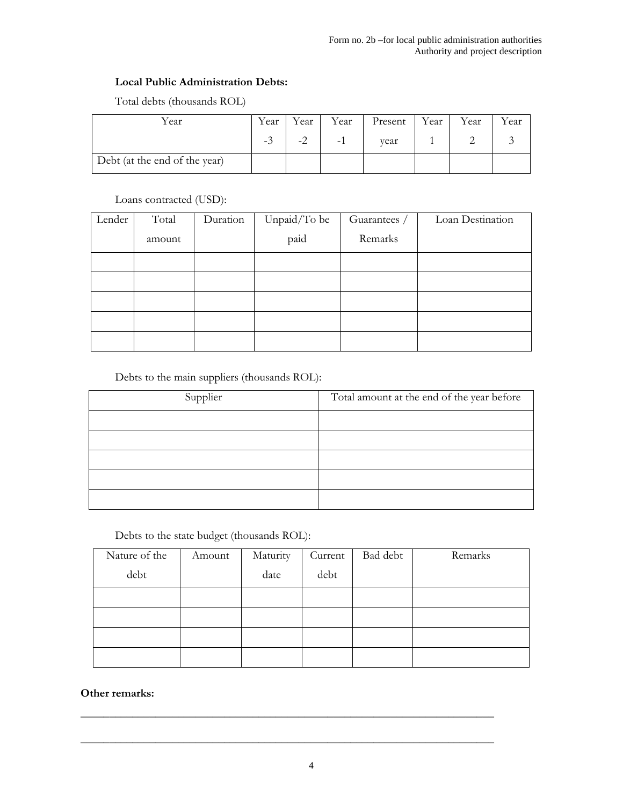### Local Public Administration Debts:

| Year                          | Year | Year | Year                     | Present | Year | Year | Year |
|-------------------------------|------|------|--------------------------|---------|------|------|------|
|                               | -0   |      | $\overline{\phantom{0}}$ | vear    |      |      |      |
| Debt (at the end of the year) |      |      |                          |         |      |      |      |

Total debts (thousands ROL)

Loans contracted (USD):

| Lender | Total  | Duration | Unpaid/To be | Guarantees / | Loan Destination |
|--------|--------|----------|--------------|--------------|------------------|
|        | amount |          | paid         | Remarks      |                  |
|        |        |          |              |              |                  |
|        |        |          |              |              |                  |
|        |        |          |              |              |                  |
|        |        |          |              |              |                  |
|        |        |          |              |              |                  |

Debts to the main suppliers (thousands ROL):

| Supplier | Total amount at the end of the year before |
|----------|--------------------------------------------|
|          |                                            |
|          |                                            |
|          |                                            |
|          |                                            |
|          |                                            |

Debts to the state budget (thousands ROL):

| Nature of the | Amount | Maturity | Current | Bad debt | Remarks |
|---------------|--------|----------|---------|----------|---------|
| debt          |        | date     | debt    |          |         |
|               |        |          |         |          |         |
|               |        |          |         |          |         |
|               |        |          |         |          |         |
|               |        |          |         |          |         |

# Other remarks:

\_\_\_\_\_\_\_\_\_\_\_\_\_\_\_\_\_\_\_\_\_\_\_\_\_\_\_\_\_\_\_\_\_\_\_\_\_\_\_\_\_\_\_\_\_\_\_\_\_\_\_\_\_\_\_\_\_\_\_\_\_\_\_\_\_\_\_\_\_\_\_\_

\_\_\_\_\_\_\_\_\_\_\_\_\_\_\_\_\_\_\_\_\_\_\_\_\_\_\_\_\_\_\_\_\_\_\_\_\_\_\_\_\_\_\_\_\_\_\_\_\_\_\_\_\_\_\_\_\_\_\_\_\_\_\_\_\_\_\_\_\_\_\_\_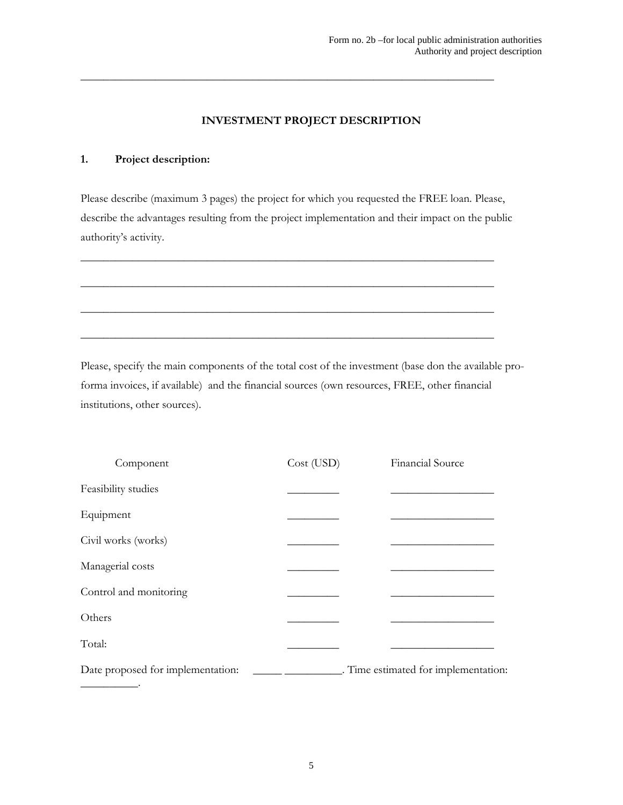## INVESTMENT PROJECT DESCRIPTION

 $\overline{\phantom{a}}$  , and the contract of the contract of the contract of the contract of the contract of the contract of the contract of the contract of the contract of the contract of the contract of the contract of the contrac

#### 1. Project description:

Please describe (maximum 3 pages) the project for which you requested the FREE loan. Please, describe the advantages resulting from the project implementation and their impact on the public authority's activity.

\_\_\_\_\_\_\_\_\_\_\_\_\_\_\_\_\_\_\_\_\_\_\_\_\_\_\_\_\_\_\_\_\_\_\_\_\_\_\_\_\_\_\_\_\_\_\_\_\_\_\_\_\_\_\_\_\_\_\_\_\_\_\_\_\_\_\_\_\_\_\_\_

 $\overline{\phantom{a}}$  , and the contract of the contract of the contract of the contract of the contract of the contract of the contract of the contract of the contract of the contract of the contract of the contract of the contrac

\_\_\_\_\_\_\_\_\_\_\_\_\_\_\_\_\_\_\_\_\_\_\_\_\_\_\_\_\_\_\_\_\_\_\_\_\_\_\_\_\_\_\_\_\_\_\_\_\_\_\_\_\_\_\_\_\_\_\_\_\_\_\_\_\_\_\_\_\_\_\_\_

\_\_\_\_\_\_\_\_\_\_\_\_\_\_\_\_\_\_\_\_\_\_\_\_\_\_\_\_\_\_\_\_\_\_\_\_\_\_\_\_\_\_\_\_\_\_\_\_\_\_\_\_\_\_\_\_\_\_\_\_\_\_\_\_\_\_\_\_\_\_\_\_

Please, specify the main components of the total cost of the investment (base don the available proforma invoices, if available) and the financial sources (own resources, FREE, other financial institutions, other sources).

| Component                         | Cost (USD) | Financial Source                     |
|-----------------------------------|------------|--------------------------------------|
| Feasibility studies               |            |                                      |
| Equipment                         |            |                                      |
| Civil works (works)               |            |                                      |
| Managerial costs                  |            |                                      |
| Control and monitoring            |            |                                      |
| Others                            |            |                                      |
| Total:                            |            |                                      |
| Date proposed for implementation: |            | . Time estimated for implementation: |
|                                   |            |                                      |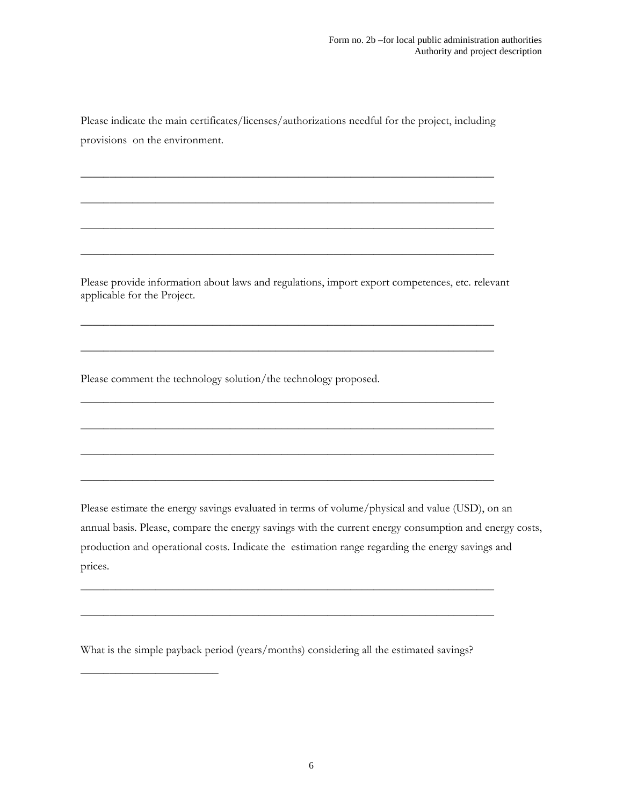Please indicate the main certificates/licenses/authorizations needful for the project, including provisions on the environment.

\_\_\_\_\_\_\_\_\_\_\_\_\_\_\_\_\_\_\_\_\_\_\_\_\_\_\_\_\_\_\_\_\_\_\_\_\_\_\_\_\_\_\_\_\_\_\_\_\_\_\_\_\_\_\_\_\_\_\_\_\_\_\_\_\_\_\_\_\_\_\_\_

 $\overline{\phantom{a}}$  , and the contract of the contract of the contract of the contract of the contract of the contract of the contract of the contract of the contract of the contract of the contract of the contract of the contrac

\_\_\_\_\_\_\_\_\_\_\_\_\_\_\_\_\_\_\_\_\_\_\_\_\_\_\_\_\_\_\_\_\_\_\_\_\_\_\_\_\_\_\_\_\_\_\_\_\_\_\_\_\_\_\_\_\_\_\_\_\_\_\_\_\_\_\_\_\_\_\_\_

\_\_\_\_\_\_\_\_\_\_\_\_\_\_\_\_\_\_\_\_\_\_\_\_\_\_\_\_\_\_\_\_\_\_\_\_\_\_\_\_\_\_\_\_\_\_\_\_\_\_\_\_\_\_\_\_\_\_\_\_\_\_\_\_\_\_\_\_\_\_\_\_

Please provide information about laws and regulations, import export competences, etc. relevant applicable for the Project.

\_\_\_\_\_\_\_\_\_\_\_\_\_\_\_\_\_\_\_\_\_\_\_\_\_\_\_\_\_\_\_\_\_\_\_\_\_\_\_\_\_\_\_\_\_\_\_\_\_\_\_\_\_\_\_\_\_\_\_\_\_\_\_\_\_\_\_\_\_\_\_\_

\_\_\_\_\_\_\_\_\_\_\_\_\_\_\_\_\_\_\_\_\_\_\_\_\_\_\_\_\_\_\_\_\_\_\_\_\_\_\_\_\_\_\_\_\_\_\_\_\_\_\_\_\_\_\_\_\_\_\_\_\_\_\_\_\_\_\_\_\_\_\_\_

 $\overline{\phantom{a}}$  , and the contract of the contract of the contract of the contract of the contract of the contract of the contract of the contract of the contract of the contract of the contract of the contract of the contrac

\_\_\_\_\_\_\_\_\_\_\_\_\_\_\_\_\_\_\_\_\_\_\_\_\_\_\_\_\_\_\_\_\_\_\_\_\_\_\_\_\_\_\_\_\_\_\_\_\_\_\_\_\_\_\_\_\_\_\_\_\_\_\_\_\_\_\_\_\_\_\_\_

\_\_\_\_\_\_\_\_\_\_\_\_\_\_\_\_\_\_\_\_\_\_\_\_\_\_\_\_\_\_\_\_\_\_\_\_\_\_\_\_\_\_\_\_\_\_\_\_\_\_\_\_\_\_\_\_\_\_\_\_\_\_\_\_\_\_\_\_\_\_\_\_

\_\_\_\_\_\_\_\_\_\_\_\_\_\_\_\_\_\_\_\_\_\_\_\_\_\_\_\_\_\_\_\_\_\_\_\_\_\_\_\_\_\_\_\_\_\_\_\_\_\_\_\_\_\_\_\_\_\_\_\_\_\_\_\_\_\_\_\_\_\_\_\_

\_\_\_\_\_\_\_\_\_\_\_\_\_\_\_\_\_\_\_\_\_\_\_\_\_\_\_\_\_\_\_\_\_\_\_\_\_\_\_\_\_\_\_\_\_\_\_\_\_\_\_\_\_\_\_\_\_\_\_\_\_\_\_\_\_\_\_\_\_\_\_\_

\_\_\_\_\_\_\_\_\_\_\_\_\_\_\_\_\_\_\_\_\_\_\_\_\_\_\_\_\_\_\_\_\_\_\_\_\_\_\_\_\_\_\_\_\_\_\_\_\_\_\_\_\_\_\_\_\_\_\_\_\_\_\_\_\_\_\_\_\_\_\_\_

Please comment the technology solution/the technology proposed.

Please estimate the energy savings evaluated in terms of volume/physical and value (USD), on an annual basis. Please, compare the energy savings with the current energy consumption and energy costs, production and operational costs. Indicate the estimation range regarding the energy savings and prices.

What is the simple payback period (years/months) considering all the estimated savings?

\_\_\_\_\_\_\_\_\_\_\_\_\_\_\_\_\_\_\_\_\_\_\_\_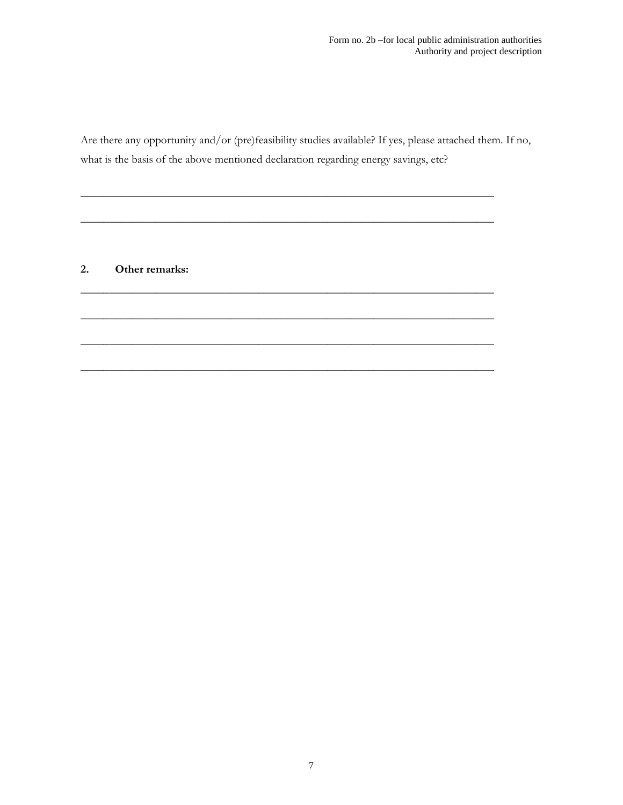Are there any opportunity and/or (pre)feasibility studies available? If yes, please attached them. If no, what is the basis of the above mentioned declaration regarding energy savings, etc?

 $\overline{\phantom{a}}$  , and the contract of the contract of the contract of the contract of the contract of the contract of the contract of the contract of the contract of the contract of the contract of the contract of the contrac

\_\_\_\_\_\_\_\_\_\_\_\_\_\_\_\_\_\_\_\_\_\_\_\_\_\_\_\_\_\_\_\_\_\_\_\_\_\_\_\_\_\_\_\_\_\_\_\_\_\_\_\_\_\_\_\_\_\_\_\_\_\_\_\_\_\_\_\_\_\_\_\_

 $\overline{\phantom{a}}$  , and the contract of the contract of the contract of the contract of the contract of the contract of the contract of the contract of the contract of the contract of the contract of the contract of the contrac

\_\_\_\_\_\_\_\_\_\_\_\_\_\_\_\_\_\_\_\_\_\_\_\_\_\_\_\_\_\_\_\_\_\_\_\_\_\_\_\_\_\_\_\_\_\_\_\_\_\_\_\_\_\_\_\_\_\_\_\_\_\_\_\_\_\_\_\_\_\_\_\_

\_\_\_\_\_\_\_\_\_\_\_\_\_\_\_\_\_\_\_\_\_\_\_\_\_\_\_\_\_\_\_\_\_\_\_\_\_\_\_\_\_\_\_\_\_\_\_\_\_\_\_\_\_\_\_\_\_\_\_\_\_\_\_\_\_\_\_\_\_\_\_\_

\_\_\_\_\_\_\_\_\_\_\_\_\_\_\_\_\_\_\_\_\_\_\_\_\_\_\_\_\_\_\_\_\_\_\_\_\_\_\_\_\_\_\_\_\_\_\_\_\_\_\_\_\_\_\_\_\_\_\_\_\_\_\_\_\_\_\_\_\_\_\_\_

## 2. Other remarks: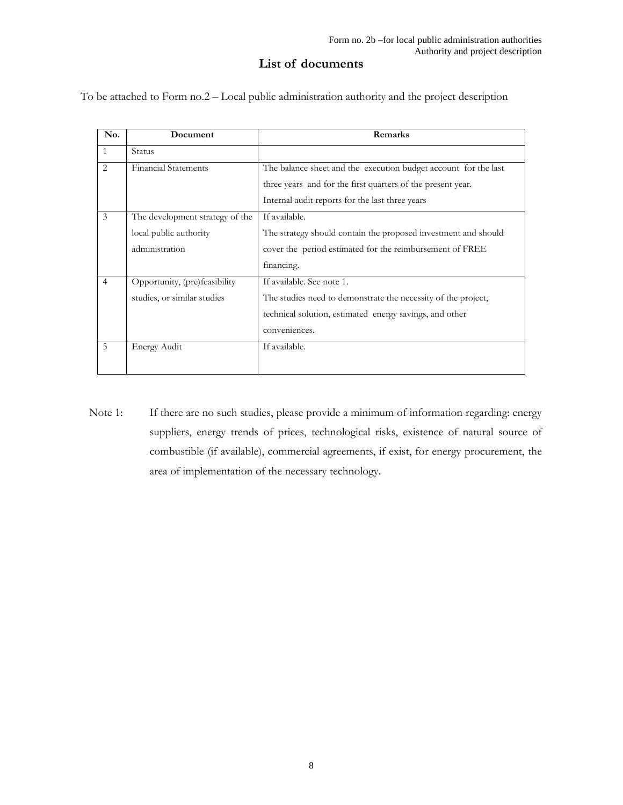## List of documents

To be attached to Form no.2 – Local public administration authority and the project description

| No.            | Document                        | Remarks                                                         |
|----------------|---------------------------------|-----------------------------------------------------------------|
| 1              | Status                          |                                                                 |
| $\overline{2}$ | <b>Financial Statements</b>     | The balance sheet and the execution budget account for the last |
|                |                                 | three years and for the first quarters of the present year.     |
|                |                                 | Internal audit reports for the last three years                 |
| 3              | The development strategy of the | If available.                                                   |
|                | local public authority          | The strategy should contain the proposed investment and should  |
|                | administration                  | cover the period estimated for the reimbursement of FREE        |
|                |                                 | financing.                                                      |
| 4              | Opportunity, (pre)feasibility   | If available. See note 1.                                       |
|                | studies, or similar studies     | The studies need to demonstrate the necessity of the project,   |
|                |                                 | technical solution, estimated energy savings, and other         |
|                |                                 | conveniences.                                                   |
| 5              | Energy Audit                    | If available.                                                   |
|                |                                 |                                                                 |

Note 1: If there are no such studies, please provide a minimum of information regarding: energy suppliers, energy trends of prices, technological risks, existence of natural source of combustible (if available), commercial agreements, if exist, for energy procurement, the area of implementation of the necessary technology.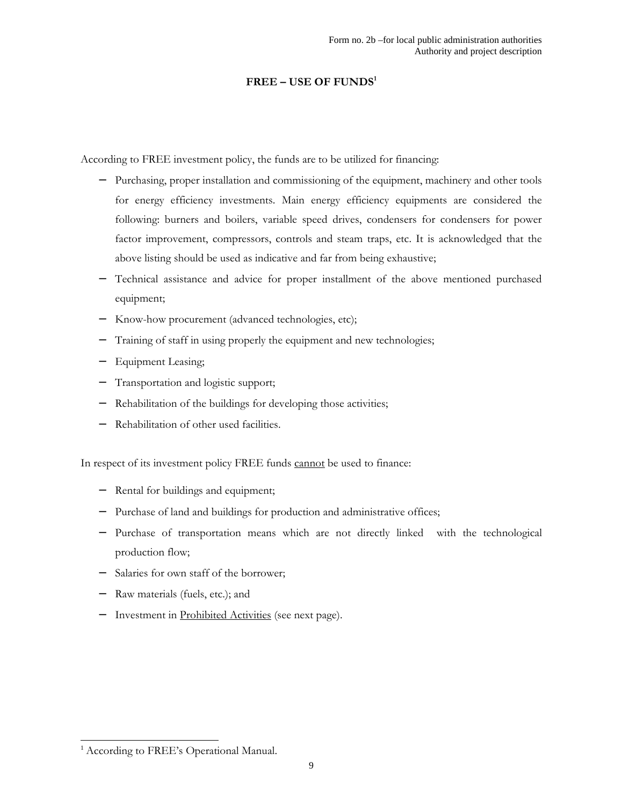### $FREE - USE$  OF FUNDS<sup>1</sup>

According to FREE investment policy, the funds are to be utilized for financing:

- − Purchasing, proper installation and commissioning of the equipment, machinery and other tools for energy efficiency investments. Main energy efficiency equipments are considered the following: burners and boilers, variable speed drives, condensers for condensers for power factor improvement, compressors, controls and steam traps, etc. It is acknowledged that the above listing should be used as indicative and far from being exhaustive;
- − Technical assistance and advice for proper installment of the above mentioned purchased equipment;
- Know-how procurement (advanced technologies, etc);
- Training of staff in using properly the equipment and new technologies;
- Equipment Leasing;
- Transportation and logistic support;
- Rehabilitation of the buildings for developing those activities;
- − Rehabilitation of other used facilities.

In respect of its investment policy FREE funds cannot be used to finance:

- − Rental for buildings and equipment;
- Purchase of land and buildings for production and administrative offices;
- Purchase of transportation means which are not directly linked with the technological production flow;
- − Salaries for own staff of the borrower;
- Raw materials (fuels, etc.); and
- − Investment in Prohibited Activities (see next page).

 $\overline{a}$ 

<sup>&</sup>lt;sup>1</sup> According to FREE's Operational Manual.